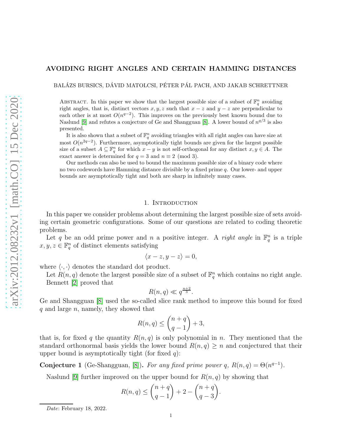# AVOIDING RIGHT ANGLES AND CERTAIN HAMMING DISTANCES

BALAZS BURSICS, DÁVID MATOLCSI, PÉTER PÁL PACH, AND JAKAB SCHRETTNER

ABSTRACT. In this paper we show that the largest possible size of a subset of  $\mathbb{F}_q^n$  avoiding right angles, that is, distinct vectors  $x, y, z$  such that  $x - z$  and  $y - z$  are perpendicular to each other is at most  $O(n^{q-2})$ . This improves on the previously best known bound due to Naslund [\[9\]](#page-13-0) and refutes a conjecture of Ge and Shangguan [\[8\]](#page-13-1). A lower bound of  $n^{q/3}$  is also presented.

It is also shown that a subset of  $\mathbb{F}_q^n$  avoiding triangles with all right angles can have size at most  $O(n^{2q-2})$ . Furthermore, asymptotically tight bounds are given for the largest possible size of a subset  $A \subseteq \mathbb{F}_q^n$  for which  $x - y$  is not self-orthogonal for any distinct  $x, y \in A$ . The exact answer is determined for  $q = 3$  and  $n \equiv 2 \pmod{3}$ .

Our methods can also be used to bound the maximum possible size of a binary code where no two codewords have Hamming distance divisible by a fixed prime q. Our lower- and upper bounds are asymptotically tight and both are sharp in infinitely many cases.

## 1. INTRODUCTION

In this paper we consider problems about determining the largest possible size of sets avoiding certain geometric configurations. Some of our questions are related to coding theoretic problems.

Let q be an odd prime power and n a positive integer. A *right angle* in  $\mathbb{F}_q^n$  is a triple  $x, y, z \in \mathbb{F}_q^n$  of distinct elements satisfying

$$
\langle x-z, y-z \rangle = 0,
$$

where  $\langle \cdot, \cdot \rangle$  denotes the standard dot product.

Let  $R(n, q)$  denote the largest possible size of a subset of  $\mathbb{F}_q^n$  which contains no right angle. Bennett [\[2\]](#page-12-0) proved that

$$
R(n,q) \ll q^{\frac{n+2}{3}}.
$$

Ge and Shangguan [\[8\]](#page-13-1) used the so-called slice rank method to improve this bound for fixed  $q$  and large  $n$ , namely, they showed that

$$
R(n,q) \le \binom{n+q}{q-1} + 3,
$$

that is, for fixed q the quantity  $R(n, q)$  is only polynomial in n. They mentioned that the standard orthonormal basis yields the lower bound  $R(n, q) \geq n$  and conjectured that their upper bound is asymptotically tight (for fixed  $q$ ):

<span id="page-0-0"></span>Conjecture 1 (Ge-Shangguan, [\[8\]](#page-13-1)). *For any fixed prime power* q,  $R(n,q) = \Theta(n^{q-1})$ .

Naslund [\[9\]](#page-13-0) further improved on the upper bound for  $R(n, q)$  by showing that

$$
R(n,q) \le \binom{n+q}{q-1} + 2 - \binom{n+q}{q-3}.
$$

Date: February 18, 2022.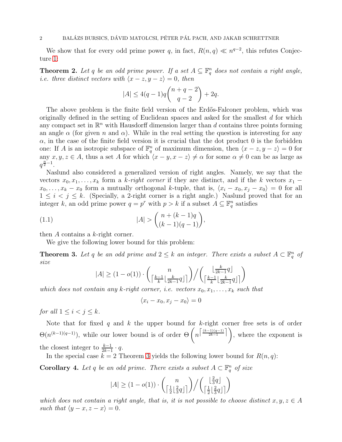We show that for every odd prime power q, in fact,  $R(n,q) \ll n^{q-2}$ , this refutes Conjecture [1:](#page-0-0)

<span id="page-1-1"></span>**Theorem 2.** Let q be an odd prime power. If a set  $A \subseteq \mathbb{F}_q^n$  does not contain a right angle, *i.e. three distinct vectors with*  $\langle x - z, y - z \rangle = 0$ , then

$$
|A| \le 4(q-1)q \binom{n+q-2}{q-2} + 2q.
$$

The above problem is the finite field version of the Erdős-Falconer problem, which was originally defined in the setting of Euclidean spaces and asked for the smallest d for which any compact set in  $\mathbb{R}^n$  with Hausdorff dimension larger than d contains three points forming an angle  $\alpha$  (for given n and  $\alpha$ ). While in the real setting the question is interesting for any  $\alpha$ , in the case of the finite field version it is crucial that the dot product 0 is the forbidden one: If A is an isotropic subspace of  $\mathbb{F}_q^n$  of maximum dimension, then  $\langle x - z, y - z \rangle = 0$  for any  $x, y, z \in A$ , thus a set A for which  $\langle x - y, x - z \rangle \neq \alpha$  for some  $\alpha \neq 0$  can be as large as  $q^{\frac{n}{2}-1}$ .

Naslund also considered a generalized version of right angles. Namely, we say that the vectors  $x_0, x_1, \ldots, x_k$  form a k-right corner if they are distinct, and if the k vectors  $x_1$  −  $x_0, \ldots, x_k - x_0$  form a mutually orthogonal k-tuple, that is,  $\langle x_i - x_0, x_j - x_0 \rangle = 0$  for all  $1 \leq i \leq j \leq k$ . (Specially, a 2-right corner is a right angle.) Naslund proved that for an integer k, an odd prime power  $q = p^r$  with  $p > k$  if a subset  $A \subseteq \mathbb{F}_q^n$  satisfies

(1.1) 
$$
|A| > {n + (k - 1)q \choose (k - 1)(q - 1)},
$$

then  $A$  contains a  $k$ -right corner.

We give the following lower bound for this problem:

<span id="page-1-0"></span>**Theorem 3.** Let q be an odd prime and  $2 \leq k$  an integer. There exists a subset  $A \subset \mathbb{F}_q^n$  of *size*

$$
|A| \geq (1 - o(1)) \cdot \binom{n}{\left\lceil \frac{k-1}{k}\left\lfloor \frac{k}{2k-1}q\right\rfloor\right} \Big/ \binom{\left\lfloor \frac{k}{2k-1}q\right\rfloor}{\left\lceil \frac{k-1}{k}\left\lfloor \frac{k}{2k-1}q\right\rfloor\right>}
$$

*which does not contain any* k-right corner, i.e. vectors  $x_0, x_1, \ldots, x_k$  such that

$$
\langle x_i - x_0, x_j - x_0 \rangle = 0
$$

*for all*  $1 \leq i \leq j \leq k$ *.* 

Note that for fixed q and k the upper bound for k-right corner free sets is of order  $\Theta(n^{(k-1)(q-1)})$ , while our lower bound is of order  $\Theta\left(n^{\left\lceil\frac{(k-1)(q-1)}{2k-1}\right\rceil}\right)$ , where the exponent is the closest integer to  $\frac{k-1}{2k-1} \cdot q$ .

In the special case  $k = 2$  Theorem [3](#page-1-0) yields the following lower bound for  $R(n, q)$ :

**Corollary 4.** Let q be an odd prime. There exists a subset  $A \subset \mathbb{F}_q^n$  of size

$$
|A| \ge (1 - o(1)) \cdot \binom{n}{\left\lceil \frac{1}{2} \lfloor \frac{2}{3} q \rfloor\right} / \binom{\left\lfloor \frac{2}{3} q \right\rfloor}{\left\lceil \frac{1}{2} \lfloor \frac{2}{3} q \rfloor\right\rceil}
$$

*which does not contain a right angle, that is, it is not possible to choose distinct*  $x, y, z \in A$ *such that*  $\langle y - x, z - x \rangle = 0$ .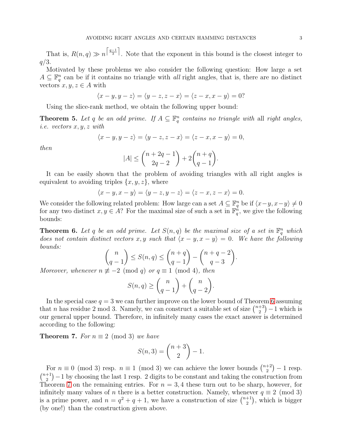That is,  $R(n,q) \gg n^{\lceil \frac{q-1}{3} \rceil}$ . Note that the exponent in this bound is the closest integer to  $q/3$ .

Motivated by these problems we also consider the following question: How large a set  $A \subseteq \mathbb{F}_q^n$  can be if it contains no triangle with *all* right angles, that is, there are no distinct vectors  $x, y, z \in A$  with

$$
\langle x-y, y-z\rangle = \langle y-z, z-x\rangle = \langle z-x, x-y\rangle = 0?
$$

Using the slice-rank method, we obtain the following upper bound:

<span id="page-2-2"></span>**Theorem 5.** Let q be an odd prime. If  $A \subseteq \mathbb{F}_q^n$  contains no triangle with all right angles, *i.e. vectors* x, y, z *with*

$$
\langle x-y, y-z\rangle = \langle y-z, z-x\rangle = \langle z-x, x-y\rangle = 0,
$$

*then*

$$
|A| \le \binom{n+2q-1}{2q-2} + 2\binom{n+q}{q-1}.
$$

It can be easily shown that the problem of avoiding triangles with all right angles is equivalent to avoiding triples  $\{x, y, z\}$ , where

$$
\langle x-y, x-y \rangle = \langle y-z, y-z \rangle = \langle z-x, z-x \rangle = 0.
$$

We consider the following related problem: How large can a set  $A \subseteq \mathbb{F}_q^n$  be if  $\langle x-y, x-y \rangle \neq 0$ for any two distinct  $x, y \in A$ ? For the maximal size of such a set in  $\mathbb{F}_q^n$ , we give the following bounds:

<span id="page-2-0"></span>**Theorem 6.** Let q be an odd prime. Let  $S(n,q)$  be the maximal size of a set in  $\mathbb{F}_q^n$  which *does not contain distinct vectors*  $x, y$  *such that*  $\langle x - y, x - y \rangle = 0$ *. We have the following bounds:*

$$
\binom{n}{q-1} \le S(n,q) \le \binom{n+q}{q-1} - \binom{n+q-2}{q-3}.
$$

*Moreover, whenever*  $n \not\equiv -2 \pmod{q}$  *or*  $q \equiv 1 \pmod{4}$ *, then* 

$$
S(n,q) \geq {n \choose q-1} + {n \choose q-2}.
$$

In the special case  $q = 3$  we can further improve on the lower bound of Theorem [6](#page-2-0) assuming that *n* has residue 2 mod 3. Namely, we can construct a suitable set of size  $\binom{n+3}{2}$  $\binom{+3}{2}$  – 1 which is our general upper bound. Therefore, in infinitely many cases the exact answer is determined according to the following:

<span id="page-2-1"></span>**Theorem 7.** *For*  $n \equiv 2 \pmod{3}$  *we have* 

$$
S(n,3) = {n+3 \choose 2} - 1.
$$

For  $n \equiv 0 \pmod{3}$  resp.  $n \equiv 1 \pmod{3}$  we can achieve the lower bounds  $\binom{n+2}{2}$  $\binom{+2}{2} - 1$  resp.  $\binom{n+1}{2}$  $\binom{+1}{2} - 1$  by choosing the last 1 resp. 2 digits to be constant and taking the construction from Theorem [7](#page-2-1) on the remaining entries. For  $n = 3, 4$  these turn out to be sharp, however, for infinitely many values of *n* there is a better construction. Namely, whenever  $q \equiv 2 \pmod{3}$ is a prime power, and  $n = q^2 + q + 1$ , we have a construction of size  $\binom{n+1}{2}$  $\binom{+1}{2}$ , which is bigger (by one!) than the construction given above.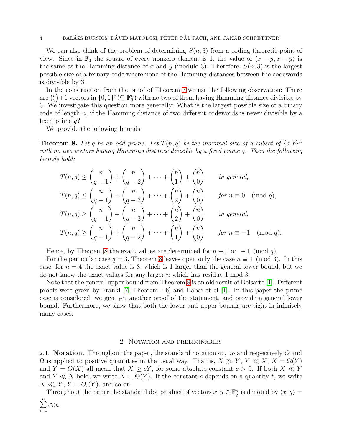#### 4 BALÁZS BURSICS, DÁVID MATOLCSI, PÉTER PÁL PACH, AND JAKAB SCHRETTNER

We can also think of the problem of determining  $S(n, 3)$  from a coding theoretic point of view. Since in  $\mathbb{F}_3$  the square of every nonzero element is 1, the value of  $\langle x - y, x - y \rangle$  is the same as the Hamming-distance of x and y (modulo 3). Therefore,  $S(n, 3)$  is the largest possible size of a ternary code where none of the Hamming-distances between the codewords is divisible by 3.

In the construction from the proof of Theorem [7](#page-2-1) we use the following observation: There are  $\binom{n}{2}$  $\binom{n}{2}+1$  vectors in  $\{0,1\}^n$  ( $\subseteq \mathbb{F}_3^n$ ) with no two of them having Hamming distance divisible by 3. We investigate this question more generally: What is the largest possible size of a binary code of length n, if the Hamming distance of two different codewords is never divisible by a fixed prime  $q$ ?

We provide the following bounds:

 $\frac{i=1}{i}$ 

<span id="page-3-0"></span>**Theorem 8.** Let q be an odd prime. Let  $T(n,q)$  be the maximal size of a subset of  $\{a,b\}^n$ *with no two vectors having Hamming distance divisible by a fixed prime* q*. Then the following bounds hold:*

$$
T(n,q) \le {n \choose q-1} + {n \choose q-2} + \cdots + {n \choose 1} + {n \choose 0} \quad \text{in general},
$$
  
\n
$$
T(n,q) \le {n \choose q-1} + {n \choose q-3} + \cdots + {n \choose 2} + {n \choose 0} \quad \text{for } n \equiv 0 \pmod{q},
$$
  
\n
$$
T(n,q) \ge {n \choose q-1} + {n \choose q-3} + \cdots + {n \choose 2} + {n \choose 0} \quad \text{in general},
$$
  
\n
$$
T(n,q) \ge {n \choose q-1} + {n \choose q-2} + \cdots + {n \choose 1} + {n \choose 0} \quad \text{for } n \equiv -1 \pmod{q}.
$$

Hence, by Theorem [8](#page-3-0) the exact values are determined for  $n \equiv 0$  or  $-1 \pmod{q}$ .

For the particular case  $q = 3$ , Theorem [8](#page-3-0) leaves open only the case  $n \equiv 1 \pmod{3}$ . In this case, for  $n = 4$  the exact value is 8, which is 1 larger than the general lower bound, but we do not know the exact values for any larger n which has residue 1 mod 3.

Note that the general upper bound from Theorem [8](#page-3-0) is an old result of Delsarte [\[4\]](#page-12-1). Different proofs were given by Frankl [\[7,](#page-12-2) Theorem 1.6] and Babai et el [\[1\]](#page-12-3). In this paper the prime case is considered, we give yet another proof of the statement, and provide a general lower bound. Furthermore, we show that both the lower and upper bounds are tight in infinitely many cases.

### 2. Notation and preliminaries

2.1. Notation. Throughout the paper, the standard notation  $\ll$ ,  $\gg$  and respectively O and  $\Omega$  is applied to positive quantities in the usual way. That is,  $X \gg Y$ ,  $Y \ll X$ ,  $X = \Omega(Y)$ and  $Y = O(X)$  all mean that  $X \ge cY$ , for some absolute constant  $c > 0$ . If both  $X \ll Y$ and  $Y \ll X$  hold, we write  $X = \Theta(Y)$ . If the constant c depends on a quantity t, we write  $X \ll_t Y$ ,  $Y = O_t(Y)$ , and so on.

Throughout the paper the standard dot product of vectors  $x, y \in \mathbb{F}_q^n$  is denoted by  $\langle x, y \rangle =$  $\sum_{i=1}^{n} x_i y_i$ .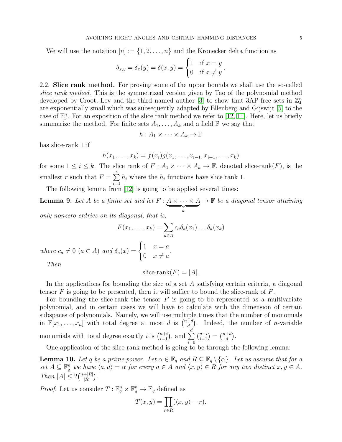We will use the notation  $[n] := \{1, 2, \ldots, n\}$  and the Kronecker delta function as

$$
\delta_{x,y} = \delta_x(y) = \delta(x,y) = \begin{cases} 1 & \text{if } x = y \\ 0 & \text{if } x \neq y \end{cases}.
$$

2.2. Slice rank method. For proving some of the upper bounds we shall use the so-called *slice rank method*. This is the symmetrized version given by Tao of the polynomial method developed by Croot, Lev and the third named author [\[3\]](#page-12-4) to show that 3AP-free sets in  $\mathbb{Z}_4^n$ are exponentially small which was subsequently adapted by Ellenberg and Gijswijt [\[5\]](#page-12-5) to the case of  $\mathbb{F}_3^n$ . For an exposition of the slice rank method we refer to [\[12,](#page-13-2) [11\]](#page-13-3). Here, let us briefly summarize the method. For finite sets  $A_1, \ldots, A_k$  and a field  $\mathbb F$  we say that

$$
h: A_1 \times \cdots \times A_k \to \mathbb{F}
$$

has slice-rank 1 if

$$
h(x_1, \ldots, x_k) = f(x_i)g(x_1, \ldots, x_{i-1}, x_{i+1}, \ldots, x_k)
$$

for some  $1 \leq i \leq k$ . The slice rank of  $F : A_1 \times \cdots \times A_k \to \mathbb{F}$ , denoted slice-rank $(F)$ , is the smallest r such that  $F = \sum_{r=1}^{r}$  $i=1$  $h_i$  where the  $h_i$  functions have slice rank 1.

The following lemma from [\[12\]](#page-13-2) is going to be applied several times:

<span id="page-4-0"></span>**Lemma 9.** Let A be a finite set and let  $F: A \times \cdots \times A$  $\overbrace{k}$  $\rightarrow \mathbb{F}$  *be a diagonal tensor attaining* 

*only nonzero entries on its diagonal, that is,*

$$
F(x_1, \dots, x_k) = \sum_{a \in A} c_a \delta_a(x_1) \dots \delta_a(x_k)
$$
  
where  $c_a \neq 0$  ( $a \in A$ ) and  $\delta_a(x) = \begin{cases} 1 & x = a \\ 0 & x \neq a \end{cases}$ .

*Then*

slice-rank
$$
(F) = |A|
$$
.

In the applications for bounding the size of a set A satisfying certain criteria, a diagonal tensor  $F$  is going to be presented, then it will suffice to bound the slice-rank of  $F$ .

For bounding the slice-rank the tensor  $F$  is going to be represented as a multivariate polynomial, and in certain cases we will have to calculate with the dimension of certain subspaces of polynomials. Namely, we will use multiple times that the number of monomials in  $\mathbb{F}[x_1,\ldots,x_n]$  with total degree at most d is  $\binom{n+d}{d}$  $\binom{+d}{d}$ . Indeed, the number of *n*-variable monomials with total degree exactly *i* is  $\binom{n+i}{i-1}$  $\binom{n+i}{i-1}$ , and  $\sum_{i=0}^{d}$  $i=0$  $\binom{n+i}{1}$  $\binom{n+i}{i-1} = \binom{n+d}{d}$  $\binom{+d}{d}$ .

One application of the slice rank method is going to be through the following lemma:

<span id="page-4-1"></span>**Lemma 10.** Let q be a prime power. Let  $\alpha \in \mathbb{F}_q$  and  $R \subseteq \mathbb{F}_q \setminus {\alpha}$ . Let us assume that for a set  $A \subseteq \mathbb{F}_q^n$  we have  $\langle a, a \rangle = \alpha$  for every  $a \in A$  and  $\langle x, y \rangle \in R$  for any two distinct  $x, y \in A$ . *Then*  $|A| \leq 2 {n+|R| \choose |R|}$  $\frac{+|R|}{|R|}\Big).$ 

*Proof.* Let us consider  $T: \mathbb{F}_q^n \times \mathbb{F}_q^n \to \mathbb{F}_q$  defined as

$$
T(x,y) = \prod_{r \in R} (\langle x, y \rangle - r).
$$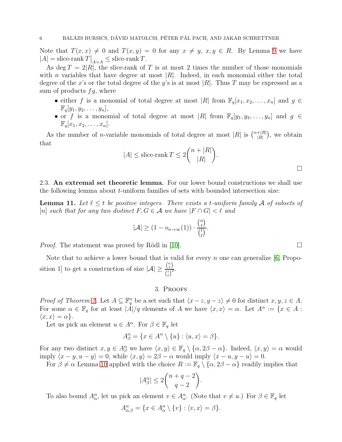Note that  $T(x, x) \neq 0$  and  $T(x, y) = 0$  for any  $x \neq y, x, y \in R$ . By Lemma [9](#page-4-0) we have  $|A|$  = slice-rank  $T|_{A \times A} \leq$  slice-rank T.

As deg  $T = 2|R|$ , the slice-rank of T is at most 2 times the number of those monomials with *n* variables that have degree at most  $|R|$ . Indeed, in each monomial either the total degree of the x's or the total degree of the y's is at most |R|. Thus T may be expressed as a sum of products  $fg$ , where

- either f is a monomial of total degree at most |R| from  $\mathbb{F}_q[x_1, x_2, \ldots, x_n]$  and  $g \in$  $\mathbb{F}_q[y_1, y_2, \ldots, y_n],$
- or f is a monomial of total degree at most |R| from  $\mathbb{F}_q[y_1, y_2, \ldots, y_n]$  and  $g \in$  $\mathbb{F}_q[x_1, x_2, \ldots, x_n].$

As the number of *n*-variable monomials of total degree at most |R| is  $\binom{n+|R|}{|R|}$  $\frac{+|R|}{|R|}$ , we obtain that

$$
|A| \le \text{slice-rank } T \le 2\binom{n+|R|}{|R|}.
$$

 $\Box$ 

2.3. An extremal set theoretic lemma. For our lower bound constructions we shall use the following lemma about t-uniform families of sets with bounded intersection size:

<span id="page-5-0"></span>**Lemma 11.** Let  $\ell \leq t$  be positive integers. There exists a t-uniform family A of subsets of  $[n]$  *such that for any two distinct*  $F, G \in \mathcal{A}$  *we have*  $|F \cap G| < \ell$  *and* 

$$
|\mathcal{A}| \ge (1 - o_{n \to \infty}(1)) \cdot \frac{{n \choose \ell}}{{n \choose \ell}}.
$$

*Proof.* The statement was proved by Rödl in [\[10\]](#page-13-4).  $\Box$ 

Note that to achieve a lower bound that is valid for every  $n$  one can generalize [\[6,](#page-12-6) Proposition 1] to get a construction of size  $|\mathcal{A}| \geq \frac{\binom{n}{\ell}}{\ell \cdot \ell^2}$  $t\choose \ell$  $\frac{1}{2}$ .

## 3. Proofs

*Proof of Theorem [2.](#page-1-1)* Let  $A \subseteq \mathbb{F}_q^n$  be a set such that  $\langle x-z, y-z \rangle \neq 0$  for distinct  $x, y, z \in A$ . For some  $\alpha \in \mathbb{F}_q$  for at least  $|\dot{A}|/q$  elements of A we have  $\langle x, x \rangle = \alpha$ . Let  $A^{\alpha} := \{x \in A :$  $\langle x, x \rangle = \alpha$ .

Let us pick an element  $u \in A^{\alpha}$ . For  $\beta \in \mathbb{F}_q$  let

$$
A^{\alpha}_{\beta} = \{ x \in A^{\alpha} \setminus \{u\} : \langle u, x \rangle = \beta \}.
$$

For any two distinct  $x, y \in A^{\alpha}_{\beta}$  we have  $\langle x, y \rangle \in \mathbb{F}_q \setminus \{\alpha, 2\beta - \alpha\}$ . Indeed,  $\langle x, y \rangle = \alpha$  would imply  $\langle x - y, u - y \rangle = 0$ , while  $\langle x, y \rangle = 2\beta - \alpha$  would imply  $\langle x - u, y - u \rangle = 0$ .

For  $\beta \neq \alpha$  Lemma [10](#page-4-1) applied with the choice  $R := \mathbb{F}_q \setminus {\alpha, 2\beta - \alpha}$  readily implies that

$$
|A_{\beta}^{\alpha}| \le 2\binom{n+q-2}{q-2}.
$$

To also bound  $A_{\alpha}^{\alpha}$ , let us pick an element  $v \in A_{\alpha}^{\alpha}$ . (Note that  $v \neq u$ .) For  $\beta \in \mathbb{F}_q$  let

$$
A^{\alpha}_{\alpha,\beta} = \{ x \in A^{\alpha}_{\alpha} \setminus \{ v \} : \langle v, x \rangle = \beta \}.
$$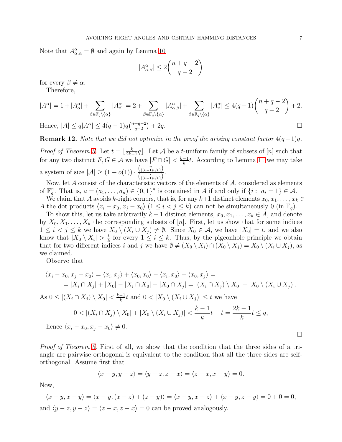Note that  $A^{\alpha}_{\alpha,\alpha} = \emptyset$  and again by Lemma [10](#page-4-1)

$$
|A_{\alpha,\beta}^{\alpha}|\leq 2\binom{n+q-2}{q-2}
$$

for every  $\beta \neq \alpha$ .

Therefore,

$$
|A^{\alpha}| = 1 + |A^{\alpha}_{\alpha}| + \sum_{\beta \in \mathbb{F}_q \setminus \{\alpha\}} |A^{\alpha}_{\beta}| = 2 + \sum_{\beta \in \mathbb{F}_q \setminus \{\alpha\}} |A^{\alpha}_{\alpha,\beta}| + \sum_{\beta \in \mathbb{F}_q \setminus \{\alpha\}} |A^{\alpha}_{\beta}| \le 4(q-1) \binom{n+q-2}{q-2} + 2.
$$
  
Hence,  $|A| \le q|A^{\alpha}| \le 4(q-1)q \binom{n+q-2}{q-2} + 2q.$ 

Hence,  $|A| \le q |A^{\alpha}| \le 4(q-1)q \binom{n+q-2}{q-2}$  $_{q-2}^{+q-2}$ 

**Remark 12.** *Note that we did not optimize in the proof the arising constant factor*  $4(q-1)q$ *.* 

*Proof of Theorem [3.](#page-1-0)* Let  $t = \frac{k}{2k^2}$  $\frac{k}{2k-1}q$ . Let A be a *t*-uniform family of subsets of [n] such that for any two distinct  $F, G \in \mathcal{A}$  we have  $|F \cap G| < \frac{k-1}{k}$  $\frac{-1}{k}t$ . According to Lemma [11](#page-5-0) we may take a system of size  $|\mathcal{A}| \geq (1 - o(1)) \cdot \frac{\binom{n}{\lceil (k-1)t/k \rceil}}{t}$  $\frac{\binom{k-1}{k}$ <br> $\binom{t}{\lceil (k-1)t/k \rceil}$ .

Now, let  $A$  consist of the characteristic vectors of the elements of  $A$ , considered as elements of  $\mathbb{F}_q^n$ . That is,  $a = (a_1, \ldots, a_n) \in \{0, 1\}^n$  is contained in A if and only if  $\{i : a_i = 1\} \in \mathcal{A}$ .

We claim that A avoids k-right corners, that is, for any  $k+1$  distinct elements  $x_0, x_1, \ldots, x_k \in$ A the dot products  $\langle x_i - x_0, x_j - x_0 \rangle$   $(1 \leq i < j \leq k)$  can not be simultaneously 0 (in  $\mathbb{F}_q$ ).

To show this, let us take arbitrarily  $k+1$  distinct elements,  $x_0, x_1, \ldots, x_k \in A$ , and denote by  $X_0, X_1, \ldots, X_k$  the corresponding subsets of [n]. First, let us show that for some indices  $1 \leq i < j \leq k$  we have  $X_0 \setminus (X_i \cup X_j) \neq \emptyset$ . Since  $X_0 \in \mathcal{A}$ , we have  $|X_0| = t$ , and we also know that  $|X_0 \setminus X_i| > \frac{t}{k}$  $\frac{t}{k}$  for every  $1 \leq i \leq k$ . Thus, by the pigeonhole principle we obtain that for two different indices i and j we have  $\emptyset \neq (X_0 \setminus X_i) \cap (X_0 \setminus X_i) = X_0 \setminus (X_i \cup X_i)$ , as we claimed.

Observe that

$$
\langle x_i - x_0, x_j - x_0 \rangle = \langle x_i, x_j \rangle + \langle x_0, x_0 \rangle - \langle x_i, x_0 \rangle - \langle x_0, x_j \rangle =
$$
  
= 
$$
|X_i \cap X_j| + |X_0| - |X_i \cap X_0| - |X_0 \cap X_j| = |(X_i \cap X_j) \setminus X_0| + |X_0 \setminus (X_i \cup X_j)|.
$$

As  $0 \leq |(X_i \cap X_j) \setminus X_0| < \frac{k-1}{k}$  $\frac{-1}{k}t$  and  $0 < |X_0 \setminus (X_i \cup X_j)| \leq t$  we have

$$
0 < |(X_i \cap X_j) \setminus X_0| + |X_0 \setminus (X_i \cup X_j)| < \frac{k-1}{k}t + t = \frac{2k-1}{k}t \le q,
$$
\nhence  $\langle x_i - x_0, x_j - x_0 \rangle \neq 0.$ 

*Proof of Theorem [5.](#page-2-2)* First of all, we show that the condition that the three sides of a triangle are pairwise orthogonal is equivalent to the condition that all the three sides are selforthogonal. Assume first that

$$
\langle x-y, y-z\rangle = \langle y-z, z-x\rangle = \langle z-x, x-y\rangle = 0.
$$

Now,

$$
\langle x - y, x - y \rangle = \langle x - y, (x - z) + (z - y) \rangle = \langle x - y, x - z \rangle + \langle x - y, z - y \rangle = 0 + 0 = 0,
$$
  
and  $\langle y - z, y - z \rangle = \langle z - x, z - x \rangle = 0$  can be proved analogously.

 $\Box$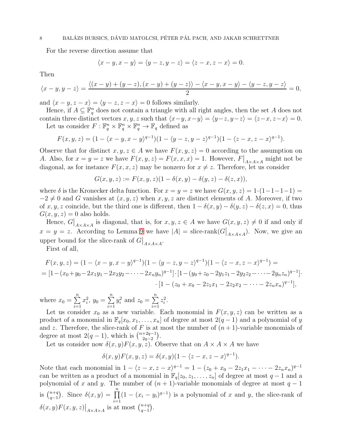## 8 BALÁZS BURSICS, DÁVID MATOLCSI, PÉTER PÁL PACH, AND JAKAB SCHRETTNER

For the reverse direction assume that

$$
\langle x-y, x-y \rangle = \langle y-z, y-z \rangle = \langle z-x, z-x \rangle = 0.
$$

Then

$$
\langle x-y, y-z\rangle = \frac{\langle (x-y)+(y-z), (x-y)+(y-z)\rangle - \langle x-y, x-y\rangle - \langle y-z, y-z\rangle}{2} = 0,
$$

and  $\langle x - y, z - x \rangle = \langle y - z, z - x \rangle = 0$  follows similarly.

Hence, if  $A \subseteq \mathbb{F}_q^n$  does not contain a triangle with all right angles, then the set A does not contain three distinct vectors x, y, z such that  $\langle x-y, x-y \rangle = \langle y-z, y-z \rangle = \langle z-x, z-x \rangle = 0.$ Let us consider  $F: \mathbb{F}_q^n \times \mathbb{F}_q^n \times \mathbb{F}_q^n \to \mathbb{F}_q$  defined as

$$
F(x, y, z) = (1 - \langle x - y, x - y \rangle^{q-1})(1 - \langle y - z, y - z \rangle^{q-1})(1 - \langle z - x, z - x \rangle^{q-1}).
$$

Observe that for distinct  $x, y, z \in A$  we have  $F(x, y, z) = 0$  according to the assumption on A. Also, for  $x = y = z$  we have  $F(x, y, z) = F(x, x, x) = 1$ . However,  $F|_{A \times A \times A}$  might not be diagonal, as for instance  $F(x, x, z)$  may be nonzero for  $x \neq z$ . Therefore, let us consider

$$
G(x, y, z) := F(x, y, z)(1 - \delta(x, y) - \delta(y, z) - \delta(z, x)),
$$

where  $\delta$  is the Kronecker delta function. For  $x = y = z$  we have  $G(x, y, z) = 1 \cdot (1 - 1 - 1 - 1) =$  $-2 \neq 0$  and G vanishes at  $(x, y, z)$  when  $x, y, z$  are distinct elements of A. Moreover, if two of x, y, z coincide, but the third one is different, then  $1 - \delta(x, y) - \delta(y, z) - \delta(z, x) = 0$ , thus  $G(x, y, z) = 0$  also holds.

Hence,  $G|_{A\times A\times A}$  is diagonal, that is, for  $x, y, z \in A$  we have  $G(x, y, z) \neq 0$  if and only if  $x = y = z$ . According to Lemma [9](#page-4-0) we have  $|A|$  = slice-rank( $G|_{A \times A \times A}$ ). Now, we give an upper bound for the slice-rank of  $G|_{A \times A \times A}$ .

First of all,

$$
F(x, y, z) = (1 - \langle x - y, x - y \rangle^{q-1})(1 - \langle y - z, y - z \rangle^{q-1})(1 - \langle z - x, z - x \rangle^{q-1}) =
$$
  
= 
$$
[1 - (x_0 + y_0 - 2x_1y_1 - 2x_2y_2 - \dots - 2x_ny_n)^{q-1}] \cdot [1 - (y_0 + z_0 - 2y_1z_1 - 2y_2z_2 - \dots - 2y_nz_n)^{q-1}] \cdot
$$

$$
\cdot [1 - (z_0 + x_0 - 2z_1x_1 - 2z_2x_2 - \dots - 2z_nx_n)^{q-1}],
$$

where  $x_0 = \sum^n$  $\frac{i=1}{i}$  $x_i^2, y_0 = \sum_{i=1}^{n}$  $i=1$  $y_i^2$  and  $z_0 = \sum^n$  $i=1$  $z_i^2$ .

Let us consider  $x_0$  as a new variable. Each monomial in  $F(x, y, z)$  can be written as a product of a monomial in  $\mathbb{F}_q[x_0, x_1, \ldots, x_n]$  of degree at most  $2(q-1)$  and a polynomial of y and z. Therefore, the slice-rank of F is at most the number of  $(n+1)$ -variable monomials of degree at most  $2(q-1)$ , which is  $\binom{n+2q-1}{2q-2}$  $\begin{pmatrix} +2q-1 \\ 2q-2 \end{pmatrix}$ .

Let us consider now  $\delta(x, y)F(x, y, z)$ . Observe that on  $A \times A \times A$  we have

$$
\delta(x,y)F(x,y,z) = \delta(x,y)(1 - \langle z - x, z - x \rangle^{q-1}).
$$

Note that each monomial in  $1 - \langle z - x, z - x \rangle^{q-1} = 1 - (z_0 + x_0 - 2z_1x_1 - \cdots - 2z_nx_n)^{q-1}$ can be written as a product of a monomial in  $\mathbb{F}_q[z_0, z_1, \ldots, z_n]$  of degree at most  $q-1$  and a polynomial of x and y. The number of  $(n + 1)$ -variable monomials of degree at most  $q - 1$ is  $\binom{n+q}{q-1}$  $_{q-1}^{n+q}$ ). Since  $\delta(x, y) = \prod_{r=1}^{n}$  $i=1$  $(1 - (x_i - y_i)^{q-1})$  is a polynomial of x and y, the slice-rank of  $\delta(x,y)F(x,y,z)\big|_{A\times A\times A}$  is at most  $\binom{n+q}{q-1}$  $_{q-1}^{n+q}$ .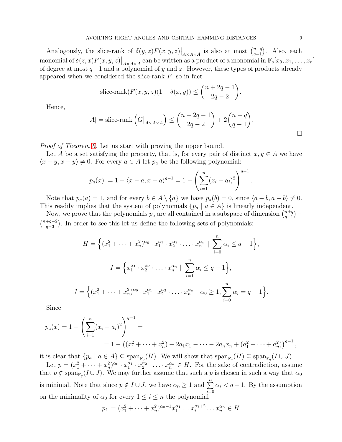Analogously, the slice-rank of  $\delta(y, z) F(x, y, z) \big|_{A \times A \times A}$  is also at most  $\binom{n+q}{q-1}$  $_{q-1}^{n+q}$ ). Also, each monomial of  $\delta(z, x) F(x, y, z)|_{A \times A \times A}$  can be written as a product of a monomial in  $\mathbb{F}_q[x_0, x_1, \ldots, x_n]$ of degree at most  $q-1$  and a polynomial of y and z. However, these types of products already appeared when we considered the slice-rank  $F$ , so in fact

slice-rank
$$
(F(x, y, z)(1 - \delta(x, y)) \leq {n+2q-1 \choose 2q-2}
$$
.

Hence,

$$
|A| = \text{slice-rank}\left(G\big|_{A \times A \times A}\right) \le \binom{n+2q-1}{2q-2} + 2\binom{n+q}{q-1}.
$$

.

*Proof of Theorem [6.](#page-2-0)* Let us start with proving the upper bound.

Let A be a set satisfying the property, that is, for every pair of distinct  $x, y \in A$  we have  $\langle x-y, x-y \rangle \neq 0$ . For every  $a \in A$  let  $p_a$  be the following polynomial:

$$
p_a(x) := 1 - \langle x - a, x - a \rangle^{q-1} = 1 - \left( \sum_{i=1}^n (x_i - a_i)^2 \right)^{q-1}
$$

Note that  $p_a(a) = 1$ , and for every  $b \in A \setminus \{a\}$  we have  $p_a(b) = 0$ , since  $\langle a - b, a - b \rangle \neq 0$ . This readily implies that the system of polynomials  $\{p_a \mid a \in A\}$  is linearly independent.

Now, we prove that the polynomials  $p_a$  are all contained in a subspace of dimension  $\binom{n+q}{q-1}$  $\binom{n+q}{q-1}$  —  $\binom{n+q-2}{2}$  $\frac{+q-2}{q-3}$ ). In order to see this let us define the following sets of polynomials:

$$
H = \left\{ (x_1^2 + \dots + x_n^2)^{\alpha_0} \cdot x_1^{\alpha_1} \cdot x_2^{\alpha_2} \cdot \dots \cdot x_n^{\alpha_n} \mid \sum_{i=0}^n \alpha_i \le q - 1 \right\},
$$
  

$$
I = \left\{ x_1^{\alpha_1} \cdot x_2^{\alpha_2} \cdot \dots \cdot x_n^{\alpha_n} \mid \sum_{i=1}^n \alpha_i \le q - 1 \right\},
$$
  

$$
J = \left\{ (x_1^2 + \dots + x_n^2)^{\alpha_0} \cdot x_1^{\alpha_1} \cdot x_2^{\alpha_2} \cdot \dots \cdot x_n^{\alpha_n} \mid \alpha_0 \ge 1, \sum_{i=0}^n \alpha_i = q - 1 \right\}.
$$

Since

$$
p_a(x) = 1 - \left(\sum_{i=1}^n (x_i - a_i)^2\right)^{q-1} =
$$
  
= 1 - \left((x\_1^2 + \dots + x\_n^2) - 2a\_1x\_1 - \dots - 2a\_nx\_n + (a\_1^2 + \dots + a\_n^2)\right)^{q-1},

it is clear that  $\{p_a \mid a \in A\} \subseteq \text{span}_{\mathbb{F}_q}(H)$ . We will show that  $\text{span}_{\mathbb{F}_q}(H) \subseteq \text{span}_{\mathbb{F}_q}(I \cup J)$ .

Let  $p = (x_1^2 + \cdots + x_n^2)^{\alpha_0} \cdot x_1^{\alpha_1} \cdot x_2^{\alpha_2} \cdot \ldots \cdot x_n^{\alpha_n} \in H$ . For the sake of contradiction, assume that  $p \notin \text{span}_{\mathbb{F}_q}(I \cup J)$ . We may further assume that such a p is chosen in such a way that  $\alpha_0$ is minimal. Note that since  $p \notin I \cup J$ , we have  $\alpha_0 \geq 1$  and  $\sum_{n=1}^{\infty}$  $i=0$  $\alpha_i < q-1$ . By the assumption on the minimality of  $\alpha_0$  for every  $1 \leq i \leq n$  the polynomial

$$
p_i := (x_1^2 + \dots + x_n^2)^{\alpha_0 - 1} x_1^{\alpha_1} \dots x_i^{\alpha_i + 2} \dots x_n^{\alpha_n} \in H
$$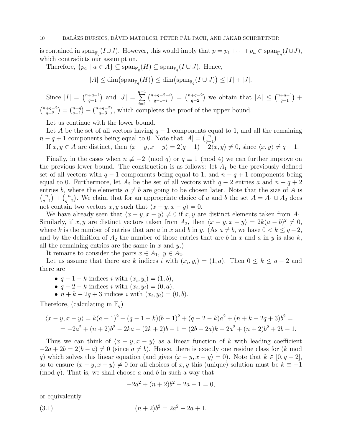is contained in span<sub> $\mathbb{F}_q(I \cup J)$ . However, this would imply that  $p = p_1 + \cdots + p_n \in \text{span}_{\mathbb{F}_q}(I \cup J)$ ,</sub> which contradicts our assumption.

Therefore,  $\{p_a \mid a \in A\} \subseteq \text{span}_{\mathbb{F}_q}(H) \subseteq \text{span}_{\mathbb{F}_q}(I \cup J)$ . Hence,

$$
|A| \le \dim\left(\operatorname{span}_{\mathbb{F}_q}(H)\right) \le \dim\left(\operatorname{span}_{\mathbb{F}_q}(I \cup J)\right) \le |I| + |J|.
$$

Since  $|I| = \binom{n+q-1}{q-1}$  $_{q-1}^{+q-1}$  and  $|J| =$  $\sum_{i=1}^{q-1}$  $i=1$  $\binom{n+q-2-i}{1}$  $\binom{+q-2-i}{q-1-i} = \binom{n+q-2}{q-2}$  $\binom{+q-2}{q-2}$  we obtain that  $|A| \leq \binom{n+q-1}{q-1}$  $_{q-1}^{+q-1}) +$  $\binom{n+q-2}{2}$  $\binom{+q-2}{q-2} = \binom{n+q}{q-1}$  $\binom{n+q}{q-1} - \binom{n+q-2}{q-3}$  $\binom{+q-2}{q-3}$ , which completes the proof of the upper bound.

Let us continue with the lower bound.

Let A be the set of all vectors having  $q-1$  components equal to 1, and all the remaining  $n - q + 1$  components being equal to 0. Note that  $|A| = {n \choose q}$  $\binom{n}{q-1}$ .

If  $x, y \in A$  are distinct, then  $\langle x - y, x - y \rangle = 2(q - 1) - 2\overline{\langle x, y \rangle} \neq 0$ , since  $\langle x, y \rangle \neq q - 1$ .

Finally, in the cases when  $n \not\equiv -2 \pmod{q}$  or  $q \equiv 1 \pmod{4}$  we can further improve on the previous lower bound. The construction is as follows: let  $A_1$  be the previously defined set of all vectors with  $q-1$  components being equal to 1, and  $n-q+1$  components being equal to 0. Furthermore, let  $A_2$  be the set of all vectors with  $q-2$  entries a and  $n-q+2$ entries b, where the elements  $a \neq b$  are going to be chosen later. Note that the size of A is  $\binom{n}{n}$  $\binom{n}{q-1} + \binom{n}{q-1}$  $\binom{n}{q-2}$ . We claim that for an appropriate choice of a and b the set  $A = A_1 \cup A_2$  does not contain two vectors  $x, y$  such that  $\langle x - y, x - y \rangle = 0$ .

We have already seen that  $\langle x - y, x - y \rangle \neq 0$  if x, y are distinct elements taken from  $A_1$ . Similarly, if x, y are distinct vectors taken from  $A_2$ , then  $\langle x - y, x - y \rangle = 2k(a - b)^2 \neq 0$ , where k is the number of entries that are a in x and b in y. (As  $a \neq b$ , we have  $0 < k \leq q-2$ , and by the definition of  $A_2$  the number of those entries that are b in x and a in y is also k, all the remaining entries are the same in  $x$  and  $y$ .)

It remains to consider the pairs  $x \in A_1$ ,  $y \in A_2$ .

Let us assume that there are k indices i with  $(x_i, y_i) = (1, a)$ . Then  $0 \le k \le q - 2$  and there are

- $q-1-k$  indices i with  $(x_i, y_i) = (1, b)$ ,
- $q-2-k$  indices i with  $(x_i, y_i) = (0, a),$
- $n + k 2q + 3$  indices *i* with  $(x_i, y_i) = (0, b)$ .

Therefore, (calculating in  $\mathbb{F}_q$ )

$$
\langle x - y, x - y \rangle = k(a - 1)^2 + (q - 1 - k)(b - 1)^2 + (q - 2 - k)a^2 + (n + k - 2q + 3)b^2 =
$$
  
=  $-2a^2 + (n + 2)b^2 - 2ka + (2k + 2)b - 1 = (2b - 2a)k - 2a^2 + (n + 2)b^2 + 2b - 1.$ 

Thus we can think of  $\langle x - y, x - y \rangle$  as a linear function of k with leading coefficient  $-2a + 2b = 2(b - a) \neq 0$  (since  $a \neq b$ ). Hence, there is exactly one residue class for (k mod q) which solves this linear equation (and gives  $\langle x - y, x - y \rangle = 0$ ). Note that  $k \in [0, q - 2]$ , so to ensure  $\langle x - y, x - y \rangle \neq 0$  for all choices of x, y this (unique) solution must be  $k \equiv -1$  $\pmod{q}$ . That is, we shall choose a and b in such a way that

<span id="page-9-0"></span>
$$
-2a^2 + (n+2)b^2 + 2a - 1 = 0,
$$

or equivalently

(3.1) 
$$
(n+2)b^2 = 2a^2 - 2a + 1.
$$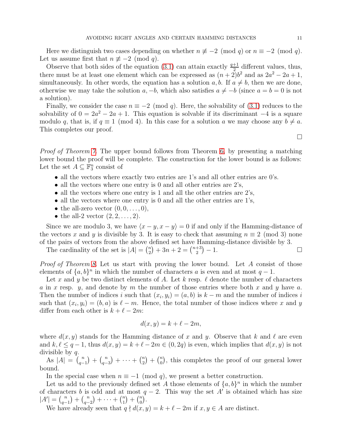Here we distinguish two cases depending on whether  $n \not\equiv -2 \pmod{q}$  or  $n \equiv -2 \pmod{q}$ . Let us assume first that  $n \not\equiv -2 \pmod{q}$ .

Observe that both sides of the equation [\(3.1\)](#page-9-0) can attain exactly  $\frac{q+1}{2}$  different values, thus, there must be at least one element which can be expressed as  $(n+2)b^2$  and as  $2a^2 - 2a + 1$ , simultaneously. In other words, the equation has a solution a, b. If  $a \neq b$ , then we are done, otherwise we may take the solution  $a, -b$ , which also satisfies  $a \neq -b$  (since  $a = b = 0$  is not a solution).

Finally, we consider the case  $n \equiv -2 \pmod{q}$ . Here, the solvability of [\(3.1\)](#page-9-0) reduces to the solvability of  $0 = 2a^2 - 2a + 1$ . This equation is solvable if its discriminant  $-4$  is a square modulo q, that is, if  $q \equiv 1 \pmod{4}$ . In this case for a solution a we may choose any  $b \neq a$ . This completes our proof.

 $\Box$ 

*Proof of Theorem [7.](#page-2-1)* The upper bound follows from Theorem [6,](#page-2-0) by presenting a matching lower bound the proof will be complete. The construction for the lower bound is as follows: Let the set  $A \subseteq \mathbb{F}_3^n$  consist of

- all the vectors where exactly two entries are 1's and all other entries are 0's.
- all the vectors where one entry is 0 and all other entries are  $2$ 's,
- all the vectors where one entry is 1 and all the other entries are 2's,
- all the vectors where one entry is 0 and all the other entries are 1's,
- the all-zero vector  $(0, 0, \ldots, 0)$ ,
- the all-2 vector  $(2, 2, \ldots, 2)$ .

Since we are modulo 3, we have  $\langle x - y, x - y \rangle = 0$  if and only if the Hamming-distance of the vectors x and y is divisible by 3. It is easy to check that assuming  $n \equiv 2 \pmod{3}$  none of the pairs of vectors from the above defined set have Hamming-distance divisible by 3.

The cardinality of the set is  $|A| = \binom{n}{2}$  $\binom{n}{2} + 3n + 2 = \binom{n+3}{2}$  $\binom{+3}{2} - 1.$ 

*Proof of Theorem [8.](#page-3-0)* Let us start with proving the lower bound. Let A consist of those elements of  $\{a, b\}^n$  in which the number of characters a is even and at most  $q-1$ .

Let x and y be two distinct elements of A. Let k resp.  $\ell$  denote the number of characters a in x resp. y, and denote by m the number of those entries where both x and y have a. Then the number of indices i such that  $(x_i, y_i) = (a, b)$  is  $k - m$  and the number of indices i such that  $(x_i, y_i) = (b, a)$  is  $\ell - m$ . Hence, the total number of those indices where x and y differ from each other is  $k + \ell - 2m$ :

$$
d(x, y) = k + \ell - 2m,
$$

where  $d(x, y)$  stands for the Hamming distance of x and y. Observe that k and l are even and  $k, \ell \leq q-1$ , thus  $d(x, y) = k + \ell - 2m \in (0, 2q)$  is even, which implies that  $d(x, y)$  is not divisible by  $q$ .

As  $|A| = \binom{n}{n}$  $\binom{n}{q-1} + \binom{n}{q-1}$  $\binom{n}{q-3} + \cdots + \binom{n}{2}$  $\binom{n}{2} + \binom{n}{0}$  $\binom{n}{0}$ , this completes the proof of our general lower bound.

In the special case when  $n \equiv -1 \pmod{q}$ , we present a better construction.

Let us add to the previously defined set A those elements of  $\{a, b\}^n$  in which the number of characters b is odd and at most  $q-2$ . This way the set A' is obtained which has size  $|A'| = {n \choose a}$  $\binom{n}{q-1} + \binom{n}{q-1}$  $\binom{n}{q-2} + \cdots + \binom{n}{1}$  $\binom{n}{1} + \binom{n}{0}$  $\binom{n}{0}$  .

We have already seen that  $q \nmid d(x, y) = k + \ell - 2m$  if  $x, y \in A$  are distinct.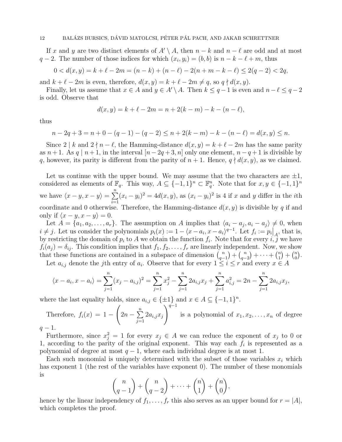If x and y are two distinct elements of  $A' \setminus A$ , then  $n - k$  and  $n - \ell$  are odd and at most  $q-2$ . The number of those indices for which  $(x_i, y_i) = (b, b)$  is  $n - k - \ell + m$ , thus

$$
0 < d(x, y) = k + \ell - 2m = (n - k) + (n - \ell) - 2(n + m - k - \ell) \le 2(q - 2) < 2q,
$$

and  $k + \ell - 2m$  is even, therefore,  $d(x, y) = k + \ell - 2m \neq q$ , so  $q \nmid d(x, y)$ .

Finally, let us assume that  $x \in A$  and  $y \in A' \setminus A$ . Then  $k \leq q-1$  is even and  $n-\ell \leq q-2$ is odd. Observe that

$$
d(x, y) = k + \ell - 2m = n + 2(k - m) - k - (n - \ell),
$$

thus

$$
n-2q+3 = n+0 - (q-1) - (q-2) \le n+2(k-m) - k - (n-\ell) = d(x,y) \le n.
$$

Since  $2 \nvert k$  and  $2 \nvert n - \ell$ , the Hamming-distance  $d(x, y) = k + \ell - 2m$  has the same parity as  $n+1$ . As  $q | n+1$ , in the interval  $[n-2q+3, n]$  only one element,  $n-q+1$  is divisible by q, however, its parity is different from the parity of  $n + 1$ . Hence,  $q \nmid d(x, y)$ , as we claimed.

Let us continue with the upper bound. We may assume that the two characters are  $\pm 1$ , considered as elements of  $\mathbb{F}_q$ . This way,  $A \subseteq \{-1,1\}^n \subset \mathbb{F}_q^n$ . Note that for  $x, y \in \{-1,1\}^n$ we have  $\langle x-y, x-y \rangle = \sum_{n=1}^{\infty}$  $\frac{i=1}{i}$  $(x_i - y_i)^2 = 4d(x, y)$ , as  $(x_i - y_i)^2$  is 4 if x and y differ in the *i*th coordinate and 0 otherwise. Therefore, the Hamming-distance  $d(x, y)$  is divisible by q if and only if  $\langle x - y, x - y \rangle = 0$ .

Let  $A = \{a_1, a_2, \ldots, a_r\}$ . The assumption on A implies that  $\langle a_i - a_j, a_i - a_j \rangle \neq 0$ , when  $i \neq j$ . Let us consider the polynomials  $p_i(x) := 1 - \langle x - a_i, x - a_i \rangle^{q-1}$ . Let  $f_i := p_i \big|_A$ , that is, by restricting the domain of  $p_i$  to A we obtain the function  $f_i$ . Note that for every  $i, j$  we have  $f_i(a_j) = \delta_{ij}$ . This condition implies that  $f_1, f_2, \ldots, f_r$  are linearly independent. Now, we show that these functions are contained in a subspace of dimension  $\binom{n}{n}$  $\binom{n}{q-1} + \binom{n}{q-1}$  $\binom{n}{q-2} + \cdots + \binom{n}{1}$  $\binom{n}{1} + \binom{n}{0}$  $\binom{n}{0}$ .

Let  $a_{i,j}$  denote the jth entry of  $a_i$ . Observe that for every  $1 \leq i \leq r$  and every  $x \in A$ 

$$
\langle x - a_i, x - a_i \rangle = \sum_{j=1}^n (x_j - a_{i,j})^2 = \sum_{j=1}^n x_j^2 - \sum_{j=1}^n 2a_{i,j}x_j + \sum_{j=1}^n a_{i,j}^2 = 2n - \sum_{j=1}^n 2a_{i,j}x_j,
$$

where the last equality holds, since  $a_{i,j} \in \{\pm 1\}$  and  $x \in A \subseteq \{-1,1\}^n$ .

Therefore, 
$$
f_i(x) = 1 - \left(2n - \sum_{j=1}^n 2a_{i,j}x_j\right)^{q-1}
$$
 is a polynomial of  $x_1, x_2, \ldots, x_n$  of degree  $q-1$ .

Furthermore, since  $x_j^2 = 1$  for every  $x_j \in A$  we can reduce the exponent of  $x_j$  to 0 or 1, according to the parity of the original exponent. This way each  $f_i$  is represented as a polynomial of degree at most  $q - 1$ , where each individual degree is at most 1.

Each such monomial is uniquely determined with the subset of those variables  $x_i$  which has exponent 1 (the rest of the variables have exponent 0). The number of these monomials is

$$
\binom{n}{q-1} + \binom{n}{q-2} + \dots + \binom{n}{1} + \binom{n}{0},
$$

hence by the linear independency of  $f_1, \ldots, f_r$  this also serves as an upper bound for  $r = |A|$ , which completes the proof.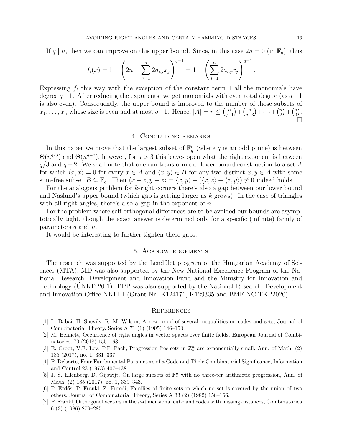If q | n, then we can improve on this upper bound. Since, in this case  $2n = 0$  (in  $\mathbb{F}_q$ ), thus

$$
f_i(x) = 1 - \left(2n - \sum_{j=1}^n 2a_{i,j}x_j\right)^{q-1} = 1 - \left(\sum_{j=1}^n 2a_{i,j}x_j\right)^{q-1}.
$$

Expressing  $f_i$  this way with the exception of the constant term 1 all the monomials have degree  $q-1$ . After reducing the exponents, we get monomials with even total degree (as  $q-1$ is also even). Consequently, the upper bound is improved to the number of those subsets of  $x_1, \ldots, x_n$  whose size is even and at most  $q-1$ . Hence,  $|A| = r \leq {n \choose q-1}$  $\binom{n}{q-1} + \binom{n}{q-1}$  $\binom{n}{q-3} + \cdots + \binom{n}{2}$  $\binom{n}{2} + \binom{n}{0}$  $\binom{n}{0}$ .  $\Box$ 

#### 4. Concluding remarks

In this paper we prove that the largest subset of  $\mathbb{F}_q^n$  (where q is an odd prime) is between  $\Theta(n^{q/3})$  and  $\Theta(n^{q-2})$ , however, for  $q>3$  this leaves open what the right exponent is between  $q/3$  and  $q-2$ . We shall note that one can transform our lower bound construction to a set A for which  $\langle x, x \rangle = 0$  for every  $x \in A$  and  $\langle x, y \rangle \in B$  for any two distinct  $x, y \in A$  with some sum-free subset  $B \subseteq \mathbb{F}_q$ . Then  $\langle x - z, y - z \rangle = \langle x, y \rangle - (\langle x, z \rangle + \langle z, y \rangle) \neq 0$  indeed holds.

For the analogous problem for k-right corners there's also a gap between our lower bound and Naslund's upper bound (which gap is getting larger as  $k$  grows). In the case of triangles with all right angles, there's also a gap in the exponent of  $n$ .

For the problem where self-orthogonal differences are to be avoided our bounds are asymptotically tight, though the exact answer is determined only for a specific (infinite) family of parameters  $q$  and  $n$ .

It would be interesting to further tighten these gaps.

## 5. Acknowledgements

The research was supported by the Lendület program of the Hungarian Academy of Sci-ences (MTA). MD was also supported by the New National Excellence Program of the National Research, Development and Innovation Fund and the Ministry for Innovation and Technology (UNKP-20-1). PPP was also supported by the National Research, Development and Innovation Office NKFIH (Grant Nr. K124171, K129335 and BME NC TKP2020).

### **REFERENCES**

- <span id="page-12-3"></span>[1] L. Babai, H. Snevily, R. M. Wilson, A new proof of several inequalities on codes and sets, Journal of Combinatorial Theory, Series A 71 (1) (1995) 146–153.
- <span id="page-12-0"></span>[2] M. Bennett, Occurrence of right angles in vector spaces over finite fields, European Journal of Combinatorics, 70 (2018) 155–163.
- <span id="page-12-4"></span>[3] E. Croot, V.F. Lev, P.P. Pach, Progression-free sets in  $\mathbb{Z}_4^n$  are exponentially small, Ann. of Math. (2) 185 (2017), no. 1, 331–337.
- <span id="page-12-1"></span>[4] P. Delsarte, Four Fundamental Parameters of a Code and Their Combinatorial Significance, Information and Control 23 (1973) 407–438.
- <span id="page-12-5"></span>[5] J. S. Ellenberg, D. Gijswijt, On large subsets of  $\mathbb{F}_q^n$  with no three-ter arithmetic progression, Ann. of Math. (2) 185 (2017), no. 1, 339–343.
- <span id="page-12-6"></span>[6] P. Erd˝os, P. Frankl, Z. F¨uredi, Families of finite sets in which no set is covered by the union of two others, Journal of Combinatorial Theory, Series A 33 (2) (1982) 158–166.
- <span id="page-12-2"></span>[7] P. Frankl, Orthogonal vectors in the n-dimensional cube and codes with missing distances, Combinatorica 6 (3) (1986) 279–285.